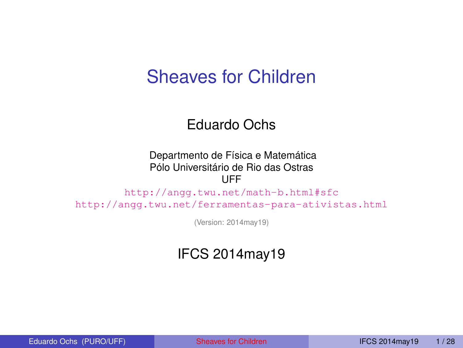#### Sheaves for Children

#### Eduardo Ochs

#### Departmento de Física e Matemática Pólo Universitário de Rio das Ostras UFF

<http://angg.twu.net/math-b.html#sfc> <http://angg.twu.net/ferramentas-para-ativistas.html>

<span id="page-0-0"></span>(Version: 2014may19)

#### IFCS 2014may19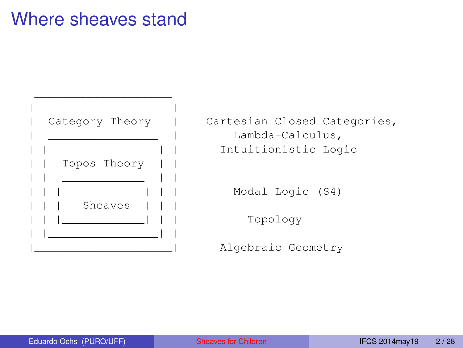#### Where sheaves stand

| | Topos Theory | | \_\_\_\_\_\_\_\_\_\_\_\_ | | Sheaves | |\_\_\_\_\_\_\_\_\_\_\_\_\_\_\_\_| |

\_\_\_\_\_\_\_\_\_\_\_\_\_\_\_\_\_\_\_\_

Category Theory | Cartesian Closed Categories, Lambda-Calculus, Intuitionistic Logic

Modal Logic (S4)

Topology

Algebraic Geometry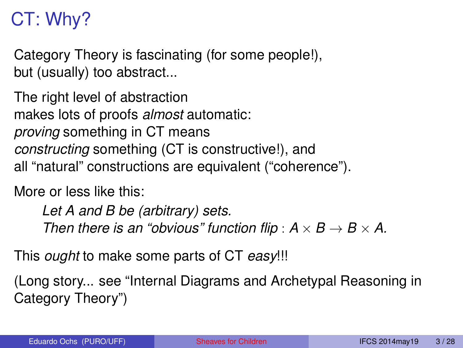# CT: Why?

Category Theory is fascinating (for some people!), but (usually) too abstract...

The right level of abstraction makes lots of proofs *almost* automatic: *proving* something in CT means *constructing* something (CT is constructive!), and all "natural" constructions are equivalent ("coherence").

More or less like this:

*Let A and B be (arbitrary) sets. Then there is an "obvious" function flip* :  $A \times B \rightarrow B \times A$ .

This *ought* to make some parts of CT *easy*!!!

(Long story... see "Internal Diagrams and Archetypal Reasoning in Category Theory")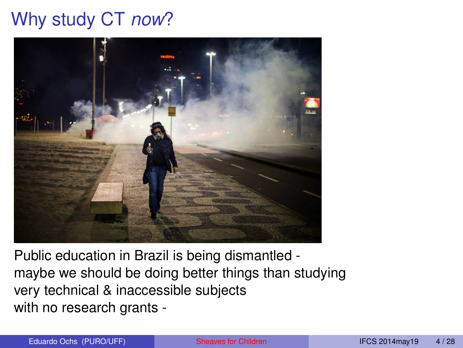# Why study CT *now*?



Public education in Brazil is being dismantled maybe we should be doing better things than studying very technical & inaccessible subjects with no research grants -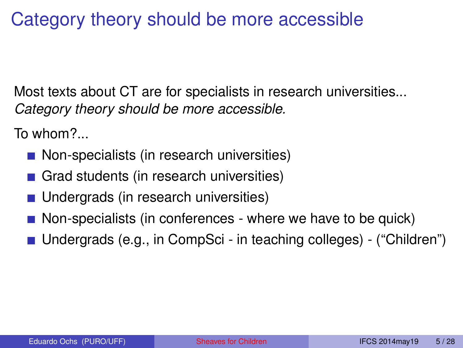# Category theory should be more accessible

Most texts about CT are for specialists in research universities... *Category theory should be more accessible.*

To whom?...

- Non-specialists (in research universities)
- Grad students (in research universities)
- Undergrads (in research universities)
- **Non-specialists (in conferences where we have to be quick)**
- Undergrads (e.g., in CompSci in teaching colleges) ("Children")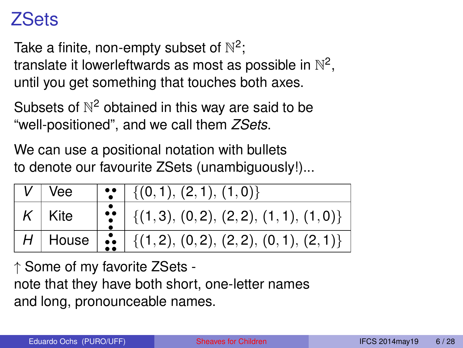#### ZSets

Take a finite, non-empty subset of  $\mathbb{N}^2;$ 

translate it lowerleftwards as most as possible in  $\mathbb{N}^2,$ until you get something that touches both axes.

Subsets of  $\mathbb{N}^2$  obtained in this way are said to be "well-positioned", and we call them *ZSets*.

We can use a positional notation with bullets to denote our favourite ZSets (unambiguously!)...

| V∣Vee                   | $\left\{ \left(0,1\right),\left(2,1\right),\left(1,0\right)\right\}$                                                      |
|-------------------------|---------------------------------------------------------------------------------------------------------------------------|
| $\left  K \right $ Kite | $\left  \begin{array}{c} \bullet \\ \bullet \\ \bullet \end{array} \right $ {(1,3), (0,2), (2,2), (1,1), (1,0)}           |
|                         | $H$ House $\begin{array}{ c c c c }\hline H&\text{House} & \text{if (1,2), (0,2), (2,2), (0,1), (2,1)}\hline \end{array}$ |

↑ Some of my favorite ZSets note that they have both short, one-letter names and long, pronounceable names.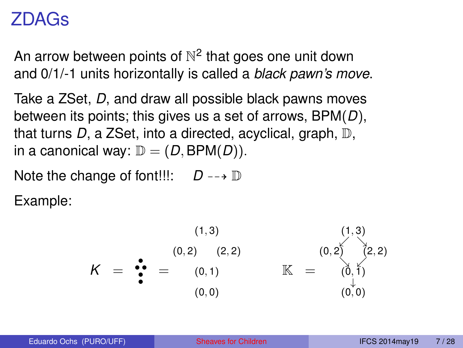#### ZDAGs

An arrow between points of  $\mathbb{N}^2$  that goes one unit down and 0/1/-1 units horizontally is called a *black pawn's move*.

Take a ZSet, *D*, and draw all possible black pawns moves between its points; this gives us a set of arrows, BPM(*D*), that turns *D*, a ZSet, into a directed, acyclical, graph, D, in a canonical way:  $\mathbb{D} = (D, \text{BPM}(D)).$ 

Note the change of font!!!:  $D \rightarrow \mathbb{D}$ 

Example:

*K* = • • • • • = (1, 3) (0, 2) (2, 2) (0, 1) (0, 0) K = (1, 3) (0, 2) (2, 2) (0, 1) (0, 0) . & & . ↓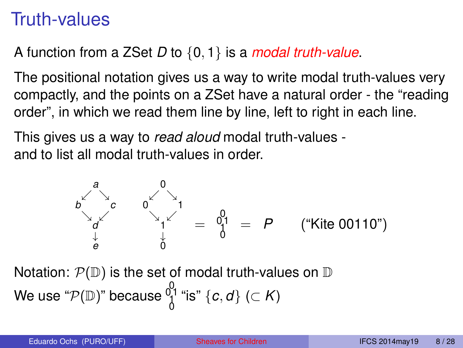#### Truth-values

#### A function from a ZSet *D* to {0, 1} is a *modal truth-value*.

The positional notation gives us a way to write modal truth-values very compactly, and the points on a ZSet have a natural order - the "reading order", in which we read them line by line, left to right in each line.

This gives us a way to *read aloud* modal truth-values and to list all modal truth-values in order.

$$
b \begin{matrix} a & 0 \\ b & 1 \\ c & 0 \end{matrix} = P \qquad (* \text{Kite 00110}^n)
$$

Notation:  $\mathcal{P}(\mathbb{D})$  is the set of modal truth-values on  $\mathbb D$ We use " $\mathcal{P}(\mathbb{D})$ " because  $\smallint_{0}^{0}$ 1 "is"  $\lbrace c,d \rbrace$  ( $\subset$   $K)$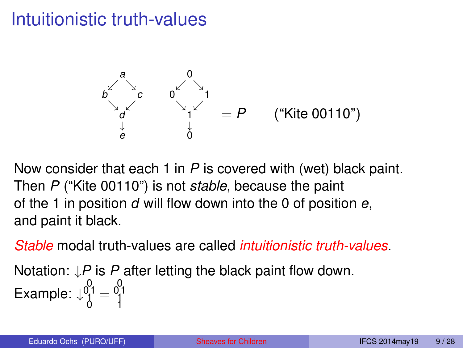# Intuitionistic truth-values



Now consider that each 1 in *P* is covered with (wet) black paint. Then *P* ("Kite 00110") is not *stable*, because the paint of the 1 in position *d* will flow down into the 0 of position *e*, and paint it black.

*Stable* modal truth-values are called *intuitionistic truth-values*.

Notation: ↓*P* is *P* after letting the black paint flow down. Example:  $\downarrow_0^{0,1} = \begin{bmatrix} 0 & 0 \\ 1 & 1 \end{bmatrix}$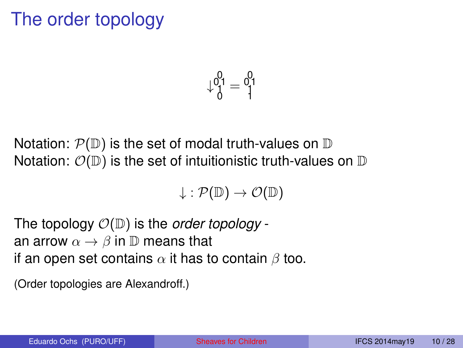# The order topology

$$
\downarrow^{0,1}_0=\begin{smallmatrix}0\\1\\1\end{smallmatrix}
$$

Notation:  $\mathcal{P}(\mathbb{D})$  is the set of modal truth-values on  $\mathbb D$ Notation:  $\mathcal{O}(\mathbb{D})$  is the set of intuitionistic truth-values on  $\mathbb D$ 

$$
\downarrow: \mathcal{P}(\mathbb{D}) \to \mathcal{O}(\mathbb{D})
$$

The topology O(D) is the *order topology* an arrow  $\alpha \rightarrow \beta$  in  $\mathbb D$  means that if an open set contains  $\alpha$  it has to contain  $\beta$  too.

(Order topologies are Alexandroff.)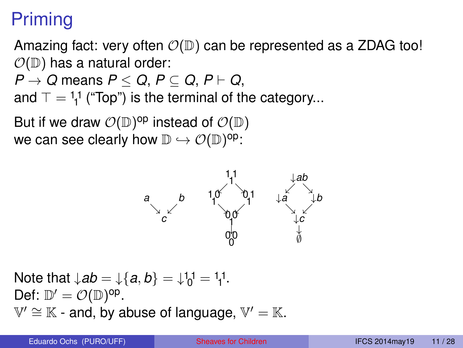# Priming

Amazing fact: very often  $\mathcal{O}(\mathbb{D})$  can be represented as a ZDAG too!  $\mathcal{O}(\mathbb{D})$  has a natural order:

$$
P\rightarrow Q\text{ means }P\leq Q,\,P\subseteq Q,\,P\vdash Q,
$$

and  $\top = \frac{1}{1}$  ("Top") is the terminal of the category...

But if we draw  $\mathcal{O}(\mathbb{D})^{\mathsf{op}}$  instead of  $\mathcal{O}(\mathbb{D})$ we can see clearly how  $\mathbb{D}\hookrightarrow \mathcal{O}(\mathbb{D})^{\mathsf{op}}$ :



Note that  $\downarrow$ *ab* =  $\downarrow$ {*a*, *b*} =  $\downarrow$ <sup>1</sup><sub>0</sub><sup>1</sup> = <sup>1</sup><sub>1</sub><sup>1</sup>. Def:  $\mathbb{D}' = \mathcal{O}(\mathbb{D})^{\text{op}}$ .  $\mathbb{V}' \cong \mathbb{K}$  - and, by abuse of language,  $\mathbb{V}' = \mathbb{K}$ .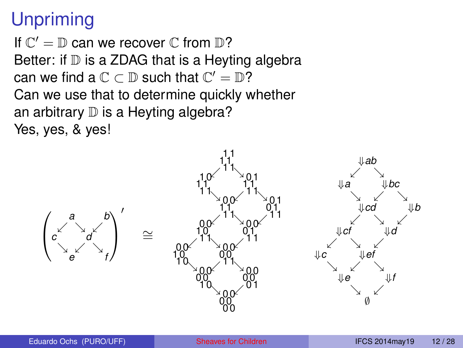# **Unpriming**

If  $\mathbb{C}' = \mathbb{D}$  can we recover  $\mathbb{C}$  from  $\mathbb{D}$ ? Better: if  $D$  is a ZDAG that is a Heyting algebra can we find a  $\mathbb{C} \subset \mathbb{D}$  such that  $\mathbb{C}' = \mathbb{D}$ ? Can we use that to determine quickly whether an arbitrary  $D$  is a Heyting algebra? Yes, yes, & yes!

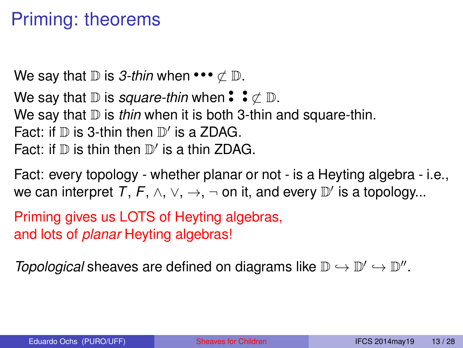# Priming: theorems

We say that  $\mathbb D$  is *3-thin* when •••  $\not\subset \mathbb D$ . We say that  $\mathbb D$  is *square-thin* when  $\mathbf{\hat{}}$  :  $\neq \mathbb D$ . We say that  $D$  is *thin* when it is both 3-thin and square-thin. Fact: if  $D$  is 3-thin then  $D'$  is a ZDAG. Fact: if  $D$  is thin then  $D'$  is a thin ZDAG.

Fact: every topology - whether planar or not - is a Heyting algebra - i.e., we can interpret  $T, F, \wedge, \vee, \rightarrow, \neg$  on it, and every  $\mathbb{D}'$  is a topology...

Priming gives us LOTS of Heyting algebras, and lots of *planar* Heyting algebras!

*Topological* sheaves are defined on diagrams like  $\mathbb{D} \hookrightarrow \mathbb{D}' \hookrightarrow \mathbb{D}''$ .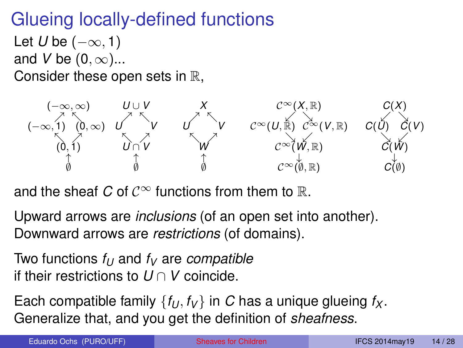# Glueing locally-defined functions

Let *U* be  $(-\infty, 1)$ and *V* be  $(0, \infty)$ ... Consider these open sets in R,



and the sheaf *C* of  $\mathcal{C}^{\infty}$  functions from them to R.

Upward arrows are *inclusions* (of an open set into another). Downward arrows are *restrictions* (of domains).

Two functions  $f_{U}$  and  $f_{V}$  are *compatible* if their restrictions to *U* ∩ *V* coincide.

Each compatible family  $\{f_U, f_V\}$  in C has a unique glueing  $f_X$ . Generalize that, and you get the definition of *sheafness*.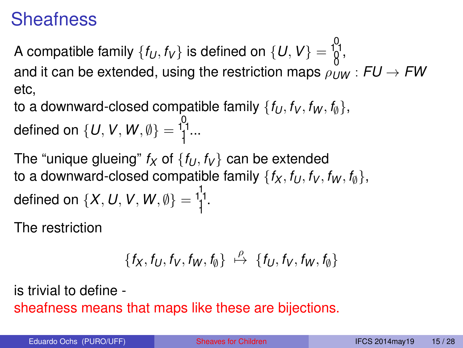#### **Sheafness**

A compatible family  $\{f_U, f_V\}$  is defined on  $\{U, V\} = \begin{bmatrix} 0 \\ 1 \\ 0 \end{bmatrix}$ and it can be extended, using the restriction maps  $\rho_{IW}$  :  $FU \rightarrow FW$ etc,

to a downward-closed compatible family  $\{f_U, f_V, f_W, f_{\phi}\}\$ , defined on  $\{U, V, W, \emptyset\} = \begin{cases} 0 & \text{if } 0 & \text{if } 0 & \text{if } 0 & \text{if } 0 \end{cases}$ 

The "unique glueing"  $f_X$  of  $\{f_U, f_V\}$  can be extended to a downward-closed compatible family  $\{f_X, f_U, f_V, f_W, f_{\emptyset}\},$ defined on  $\{X, U, V, W, \emptyset\} = \frac{1}{1}^{1}$ .

The restriction

$$
\{f_X,f_U,f_V,f_W,f_{\emptyset}\} \ \stackrel{\rho}{\mapsto} \ \{f_U,f_V,f_W,f_{\emptyset}\}
$$

is trivial to define sheafness means that maps like these are bijections.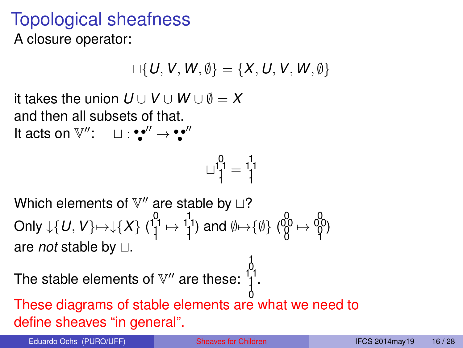# Topological sheafness

A closure operator:

$$
\sqcup\{U,V,W,\emptyset\}=\{X,U,V,W,\emptyset\}
$$

it takes the union  $U \cup V \cup W \cup \emptyset = X$ and then all subsets of that. It acts on  $\mathbb{V}''$ :  $\Box$ :::'''  $\rightarrow$ :'''

$$
\sqcup\substack{1\\1\\1}^0=\substack{1\\1\\1}
$$

Which elements of  $\mathbb{V}''$  are stable by  $\sqcup$ ? Only  $\downarrow$  {  $U, V$ } $\mapsto$   $\downarrow$  { $X$ } ( $\frac{1}{1}$ <sup>1</sup> $\mapsto$   $\frac{1}{1}$ <sup>1</sup>) and Ø $\mapsto$  {Ø} ( $\frac{0}{9}$  $\mapsto$   $\frac{0}{9}$  $\uparrow$ ) are *not* stable by  $\sqcup$ .

The stable elements of  $\mathbb{V}''$  are these:  $\begin{bmatrix} 1 \\ 1 \\ 1 \end{bmatrix}$ 

0 These diagrams of stable elements are what we need to define sheaves "in general".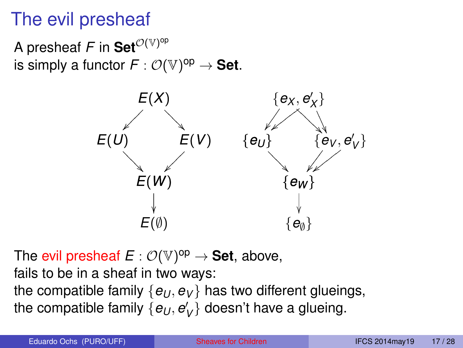# The evil presheaf

A presheaf  $\mathsf F$  in  $\mathsf{Set}^{{\mathcal{O}}(\mathbb{V})^{\mathsf{op}}}$ is simply a functor  $F: \mathcal{O}(\mathbb{V})^{\mathsf{op}} \to \mathsf{Set}.$ 



The evil presheaf  $E: \mathcal{O}(\mathbb{V})^{\mathsf{op}} \to \mathsf{Set}$ , above, fails to be in a sheaf in two ways: the compatible family  $\{e_U, e_V\}$  has two different glueings, the compatible family  $\{e_{U},e_{V}^{\prime}\}$  doesn't have a glueing.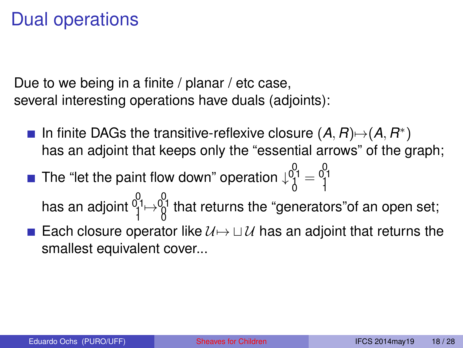# Dual operations

Due to we being in a finite / planar / etc case, several interesting operations have duals (adjoints):

- In finite DAGs the transitive-reflexive closure  $(A, R) \rightarrow (A, R^*)$ has an adjoint that keeps only the "essential arrows" of the graph;
- The "let the paint flow down" operation  $\downarrow^{0}_{0}^{0}_{1} = \frac{0}{1}^{0}$ 
	- has an adjoint  $0_1^0$   $\mapsto \begin{matrix} 0\ 1\end{matrix}$  that returns the "generators"of an open set;
- Each closure operator like  $U \mapsto \cup U$  has an adjoint that returns the smallest equivalent cover...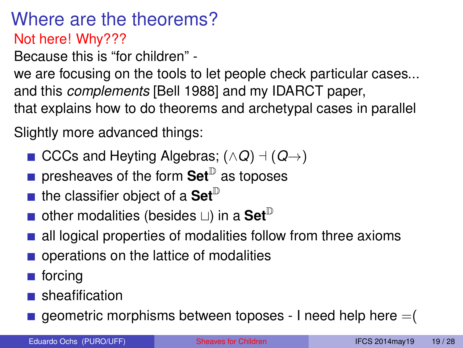Where are the theorems? Not here! Why???

Because this is "for children" -

we are focusing on the tools to let people check particular cases... and this *complements* [Bell 1988] and my IDARCT paper, that explains how to do theorems and archetypal cases in parallel

Slightly more advanced things:

- CCCs and Heyting Algebras;  $( \land Q ) \dashv (Q \rightarrow )$
- presheaves of the form **Set**<sup>D</sup> as toposes
- $\blacksquare$  the classifier object of a Set<sup> $\mathbb D$ </sup>
- **other modalities (besides**  $\Box$ **) in a Set**<sup>D</sup>
- all logical properties of modalities follow from three axioms
- operations on the lattice of modalities
- **■** forcing
- sheafification
- $\blacksquare$  geometric morphisms between toposes I need help here  $=(\blacksquare)$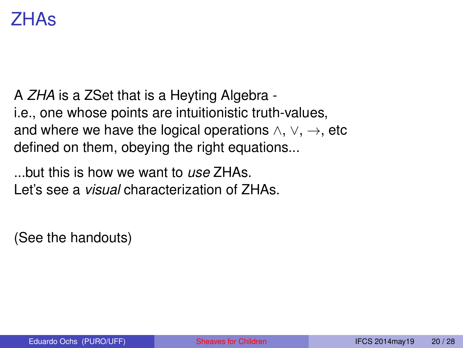#### ZHAs

A *ZHA* is a ZSet that is a Heyting Algebra i.e., one whose points are intuitionistic truth-values, and where we have the logical operations  $\land$ ,  $\lor$ ,  $\rightarrow$ , etc defined on them, obeying the right equations...

...but this is how we want to *use* ZHAs. Let's see a *visual* characterization of ZHAs.

(See the handouts)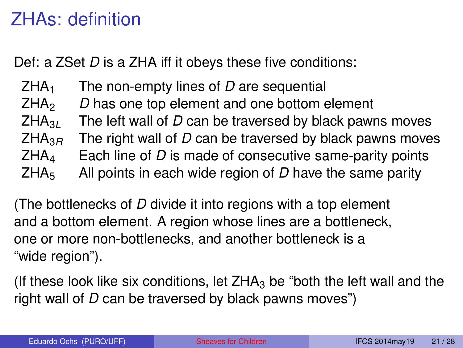# ZHAs: definition

Def: a ZSet *D* is a ZHA iff it obeys these five conditions:

ZHA<sup>1</sup> The non-empty lines of *D* are sequential ZHA<sup>2</sup> *D* has one top element and one bottom element  $ZHA_{3L}$  The left wall of *D* can be traversed by black pawns moves<br> $ZHA_{3R}$  The right wall of *D* can be traversed by black pawns move The right wall of *D* can be traversed by black pawns moves  $ZHA<sub>4</sub>$  Each line of *D* is made of consecutive same-parity points ZHA<sup>5</sup> All points in each wide region of *D* have the same parity

(The bottlenecks of *D* divide it into regions with a top element and a bottom element. A region whose lines are a bottleneck, one or more non-bottlenecks, and another bottleneck is a "wide region").

(If these look like six conditions, let  $ZHA_3$  be "both the left wall and the right wall of *D* can be traversed by black pawns moves")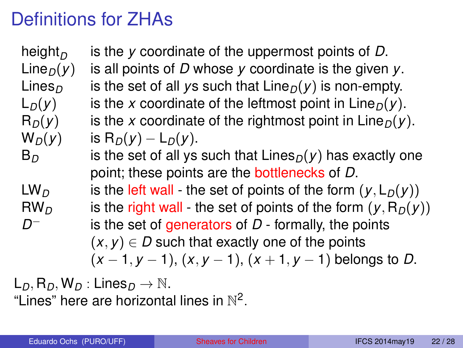### Definitions for ZHAs

height<sub>*D*</sub><br>Line<sub>*D*</sub>(*y*) is the *y* coordinate of the uppermost points of *D*. is all points of *D* whose *y* coordinate is the given *y*. Lines<sub>*D*</sub> is the set of all *y*s such that  $\text{Line}_D(y)$  is non-empty.  $L_D(y)$  is the *x* coordinate of the leftmost point in Line<sub>D</sub> $(y)$ .  $R_D(y)$  is the *x* coordinate of the rightmost point in Line<sub>D</sub> $(y)$ .  $W_D(y)$  is  $R_D(y) - L_D(y)$ .  $B_D$  is the set of all ys such that  $Lines_D(y)$  has exactly one point; these points are the bottlenecks of *D*. LW<sub>D</sub> is the left wall - the set of points of the form  $(y, L_D(y))$  $RW<sub>D</sub>$  is the right wall - the set of points of the form  $(y, R<sub>D</sub>(y))$ *D* is the set of generators of *D* - formally, the points  $(x, y) \in D$  such that exactly one of the points (*x* − 1, *y* − 1), (*x*, *y* − 1), (*x* + 1, *y* − 1) belongs to *D*.

 $L_D$ ,  $R_D$ ,  $W_D$ : Lines $D \rightarrow \mathbb{N}$ . "Lines" here are horizontal lines in  $\mathbb{N}^2$ .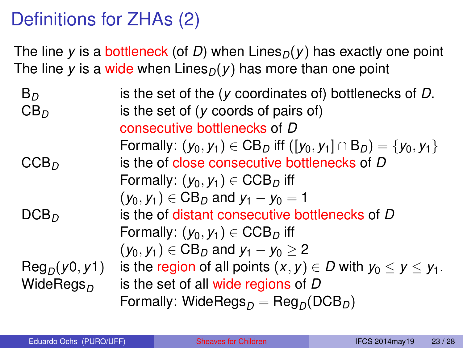# Definitions for ZHAs (2)

The line *y* is a bottleneck (of *D*) when  $\text{Lines}_D(y)$  has exactly one point The line *y* is a wide when Lines<sub> $D$ </sub>(*y*) has more than one point

| $B_D$                  | is the set of the $(y$ coordinates of) bottlenecks of $D$ .                                      |
|------------------------|--------------------------------------------------------------------------------------------------|
| CB <sub>D</sub>        | is the set of $(y \text{ coords of pairs of})$                                                   |
|                        | consecutive bottlenecks of D                                                                     |
|                        | Formally: $(y_0, y_1) \in CB_D$ iff $([y_0, y_1] \cap B_D) = \{y_0, y_1\}$                       |
| CCB <sub>D</sub>       | is the of close consecutive bottlenecks of D                                                     |
|                        | Formally: $(y_0, y_1) \in \text{CCB}_D$ iff                                                      |
|                        | $(y_0, y_1) \in CB_D$ and $y_1 - y_0 = 1$                                                        |
| DCB <sub>D</sub>       | is the of distant consecutive bottlenecks of D                                                   |
|                        | Formally: $(y_0, y_1) \in \text{CCB}_D$ iff                                                      |
|                        | $(y_0, y_1) \in CB_D$ and $y_1 - y_0 \ge 2$                                                      |
| $\text{Reg}_D(y0, y1)$ | is the region of all points $(x, y) \in D$ with $y_0 \le y \le y_1$ .                            |
| WideRegs <sub>n</sub>  | is the set of all wide regions of D                                                              |
|                        | Formally: WideRegs <sub><math>D</math></sub> = Reg <sub><math>D</math></sub> (DCB <sub>D</sub> ) |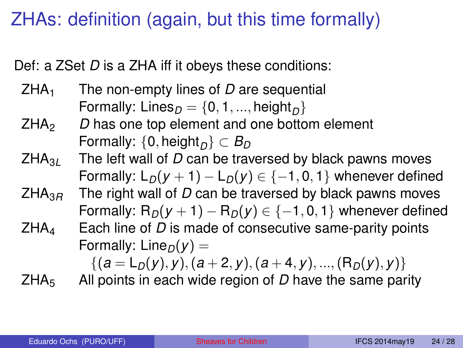# ZHAs: definition (again, but this time formally)

Def: a ZSet *D* is a ZHA iff it obeys these conditions:

- ZHA<sup>1</sup> The non-empty lines of *D* are sequential Formally:  $\mathsf{Lines}_D = \{0, 1, ..., \mathsf{height}_D\}$
- ZHA<sup>2</sup> *D* has one top element and one bottom element  $\textsf{Formally: } \{\textsf{0}, \textsf{height}_D\} \subset \textit{B}_D$
- ZHA3*<sup>L</sup>* The left wall of *D* can be traversed by black pawns moves Formally:  $L_D(y + 1) - L_D(y) \in \{-1, 0, 1\}$  whenever defined
- ZHA3*<sup>R</sup>* The right wall of *D* can be traversed by black pawns moves Formally:  $R_D(y + 1) - R_D(y) \in \{-1, 0, 1\}$  whenever defined
- $ZHA<sub>4</sub>$  Each line of *D* is made of consecutive same-parity points Formally: Line<sub> $D$ </sub> $(v)$  =

$$
\{(a=L_D(y),y),(a+2,y),(a+4,y),...,(R_D(y),y)\}
$$

ZHA<sup>5</sup> All points in each wide region of *D* have the same parity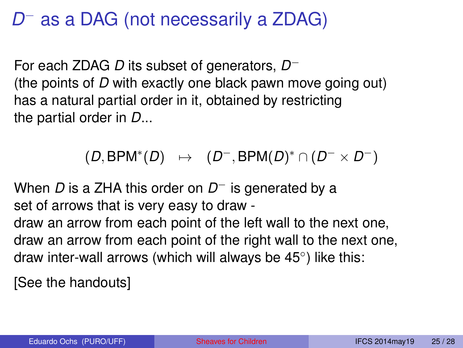# *D*<sup>−</sup> as a DAG (not necessarily a ZDAG)

For each ZDAG *D* its subset of generators, *D* − (the points of *D* with exactly one black pawn move going out) has a natural partial order in it, obtained by restricting the partial order in *D*...

 $(D, BPM^*(D) \rightarrow (D^-, BPM(D)^* \cap (D^- \times D^-))$ 

When *D* is a ZHA this order on *D* <sup>−</sup> is generated by a set of arrows that is very easy to draw -

draw an arrow from each point of the left wall to the next one, draw an arrow from each point of the right wall to the next one, draw inter-wall arrows (which will always be 45◦ ) like this:

[See the handouts]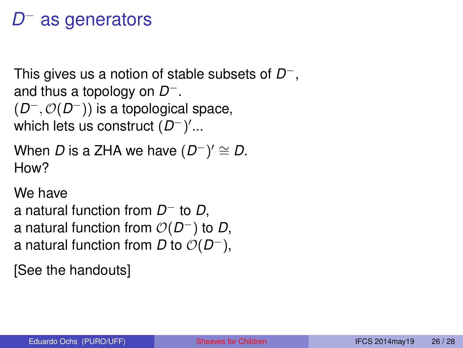# *D*<sup>−</sup> as generators

This gives us a notion of stable subsets of *D* −, and thus a topology on *D* −. (*D* <sup>−</sup>, O(*D* <sup>−</sup>)) is a topological space, which lets us construct (*D*<sup>−</sup>)′...

```
When D is a ZHA we have (D^-)' \cong D.
How?
```
We have

a natural function from *D*<sup>−</sup> to *D*, a natural function from  $O(D^-)$  to  $D$ , a natural function from *D* to  $O(D^-)$ ,

[See the handouts]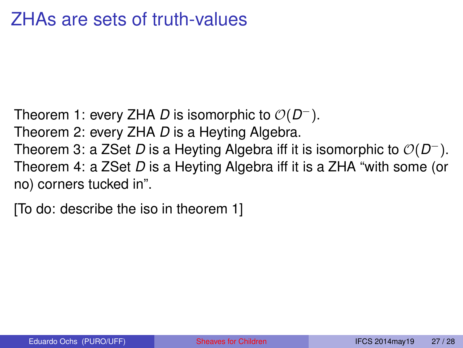#### ZHAs are sets of truth-values

Theorem 1: every ZHA *D* is isomorphic to O(*D* <sup>−</sup>). Theorem 2: every ZHA *D* is a Heyting Algebra. Theorem 3: a ZSet *D* is a Heyting Algebra iff it is isomorphic to O(*D* <sup>−</sup>). Theorem 4: a ZSet *D* is a Heyting Algebra iff it is a ZHA "with some (or no) corners tucked in".

[To do: describe the iso in theorem 1]